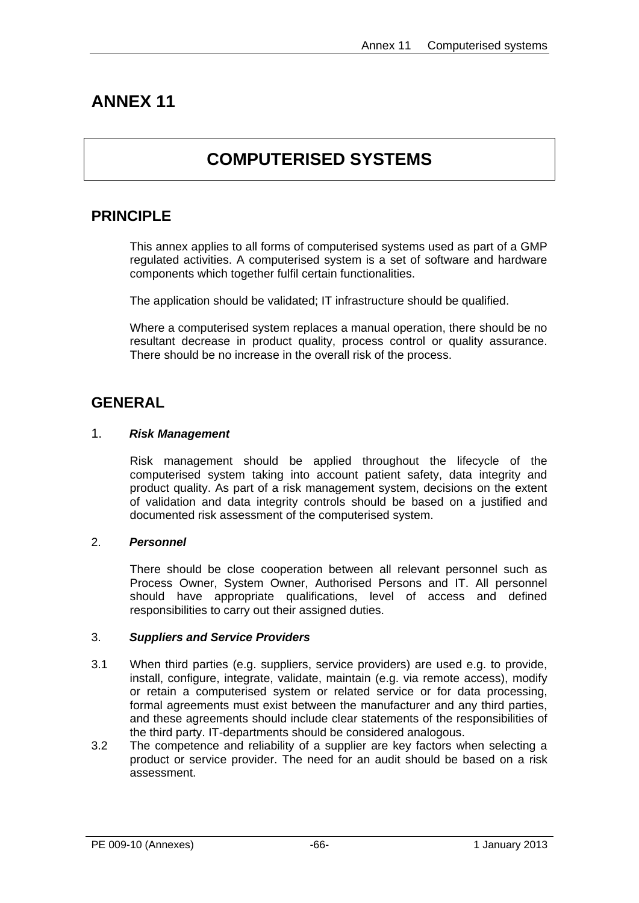# **ANNEX 11**

# **COMPUTERISED SYSTEMS**

# **PRINCIPLE**

This annex applies to all forms of computerised systems used as part of a GMP regulated activities. A computerised system is a set of software and hardware components which together fulfil certain functionalities.

The application should be validated; IT infrastructure should be qualified.

Where a computerised system replaces a manual operation, there should be no resultant decrease in product quality, process control or quality assurance. There should be no increase in the overall risk of the process.

# **GENERAL**

# 1. *Risk Management*

Risk management should be applied throughout the lifecycle of the computerised system taking into account patient safety, data integrity and product quality. As part of a risk management system, decisions on the extent of validation and data integrity controls should be based on a justified and documented risk assessment of the computerised system.

# 2. *Personnel*

There should be close cooperation between all relevant personnel such as Process Owner, System Owner, Authorised Persons and IT. All personnel should have appropriate qualifications, level of access and defined responsibilities to carry out their assigned duties.

### 3. *Suppliers and Service Providers*

- 3.1 When third parties (e.g. suppliers, service providers) are used e.g. to provide, install, configure, integrate, validate, maintain (e.g. via remote access), modify or retain a computerised system or related service or for data processing, formal agreements must exist between the manufacturer and any third parties, and these agreements should include clear statements of the responsibilities of the third party. IT-departments should be considered analogous.
- 3.2 The competence and reliability of a supplier are key factors when selecting a product or service provider. The need for an audit should be based on a risk assessment.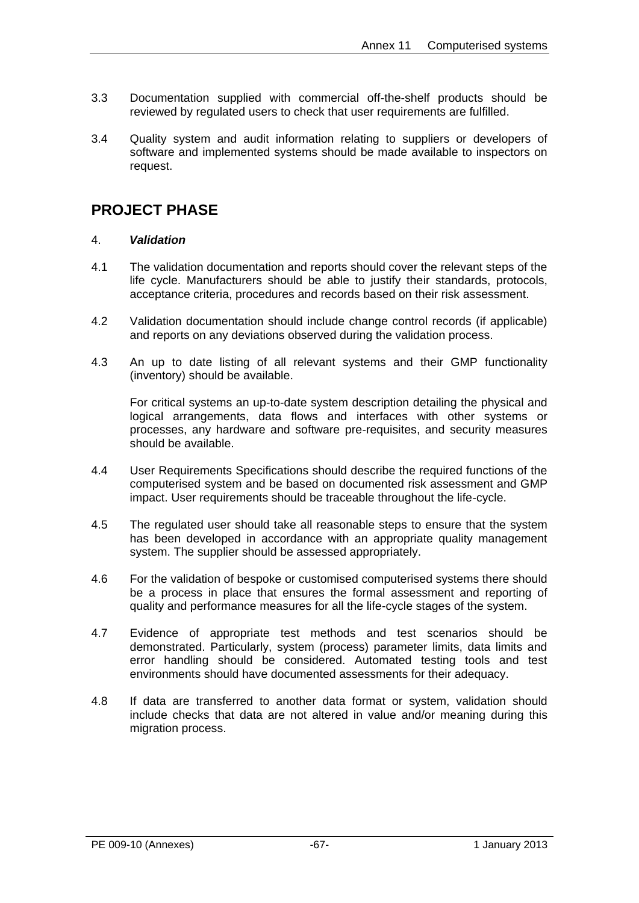- 3.3 Documentation supplied with commercial off-the-shelf products should be reviewed by regulated users to check that user requirements are fulfilled.
- 3.4 Quality system and audit information relating to suppliers or developers of software and implemented systems should be made available to inspectors on request.

# **PROJECT PHASE**

# 4. *Validation*

- 4.1 The validation documentation and reports should cover the relevant steps of the life cycle. Manufacturers should be able to justify their standards, protocols, acceptance criteria, procedures and records based on their risk assessment.
- 4.2 Validation documentation should include change control records (if applicable) and reports on any deviations observed during the validation process.
- 4.3 An up to date listing of all relevant systems and their GMP functionality (inventory) should be available.

For critical systems an up-to-date system description detailing the physical and logical arrangements, data flows and interfaces with other systems or processes, any hardware and software pre-requisites, and security measures should be available.

- 4.4 User Requirements Specifications should describe the required functions of the computerised system and be based on documented risk assessment and GMP impact. User requirements should be traceable throughout the life-cycle.
- 4.5 The regulated user should take all reasonable steps to ensure that the system has been developed in accordance with an appropriate quality management system. The supplier should be assessed appropriately.
- 4.6 For the validation of bespoke or customised computerised systems there should be a process in place that ensures the formal assessment and reporting of quality and performance measures for all the life-cycle stages of the system.
- 4.7 Evidence of appropriate test methods and test scenarios should be demonstrated. Particularly, system (process) parameter limits, data limits and error handling should be considered. Automated testing tools and test environments should have documented assessments for their adequacy.
- 4.8 If data are transferred to another data format or system, validation should include checks that data are not altered in value and/or meaning during this migration process.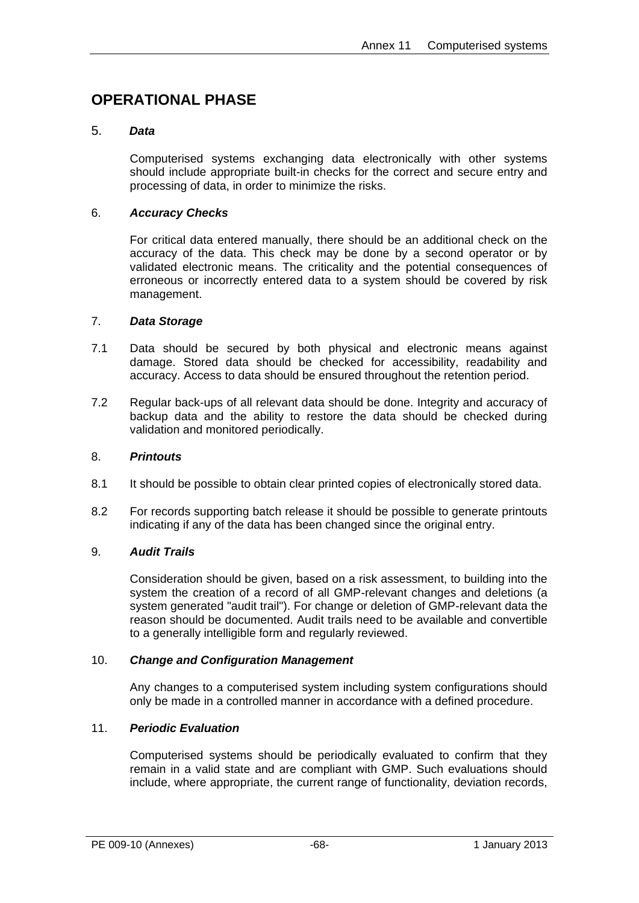# **OPERATIONAL PHASE**

# 5. *Data*

Computerised systems exchanging data electronically with other systems should include appropriate built-in checks for the correct and secure entry and processing of data, in order to minimize the risks.

# 6. *Accuracy Checks*

For critical data entered manually, there should be an additional check on the accuracy of the data. This check may be done by a second operator or by validated electronic means. The criticality and the potential consequences of erroneous or incorrectly entered data to a system should be covered by risk management.

### 7. *Data Storage*

- 7.1 Data should be secured by both physical and electronic means against damage. Stored data should be checked for accessibility, readability and accuracy. Access to data should be ensured throughout the retention period.
- 7.2 Regular back-ups of all relevant data should be done. Integrity and accuracy of backup data and the ability to restore the data should be checked during validation and monitored periodically.

### 8. *Printouts*

- 8.1 It should be possible to obtain clear printed copies of electronically stored data.
- 8.2 For records supporting batch release it should be possible to generate printouts indicating if any of the data has been changed since the original entry.

### 9. *Audit Trails*

Consideration should be given, based on a risk assessment, to building into the system the creation of a record of all GMP-relevant changes and deletions (a system generated "audit trail"). For change or deletion of GMP-relevant data the reason should be documented. Audit trails need to be available and convertible to a generally intelligible form and regularly reviewed.

### 10. *Change and Configuration Management*

Any changes to a computerised system including system configurations should only be made in a controlled manner in accordance with a defined procedure.

# 11. *Periodic Evaluation*

Computerised systems should be periodically evaluated to confirm that they remain in a valid state and are compliant with GMP. Such evaluations should include, where appropriate, the current range of functionality, deviation records,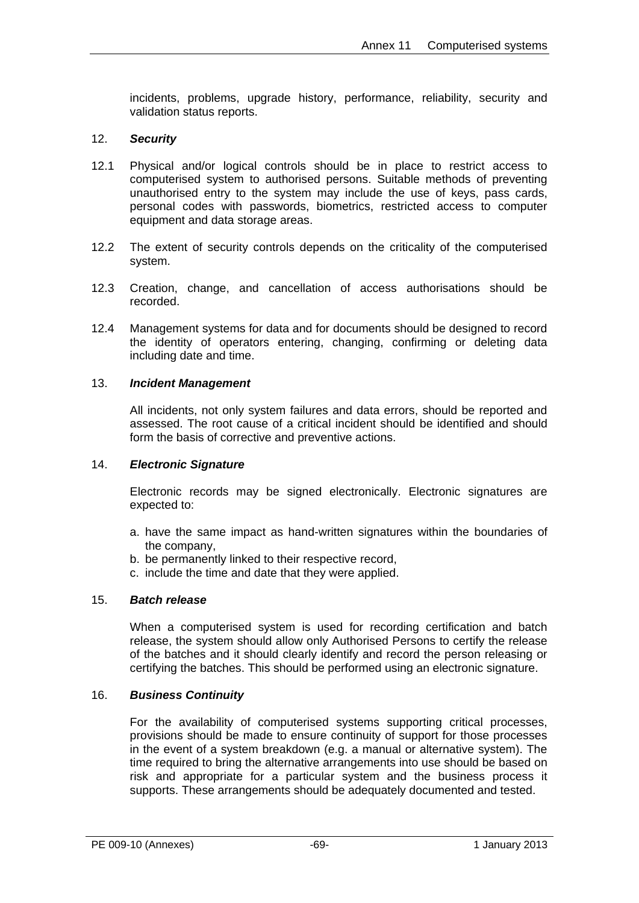incidents, problems, upgrade history, performance, reliability, security and validation status reports.

# 12. *Security*

- 12.1 Physical and/or logical controls should be in place to restrict access to computerised system to authorised persons. Suitable methods of preventing unauthorised entry to the system may include the use of keys, pass cards, personal codes with passwords, biometrics, restricted access to computer equipment and data storage areas.
- 12.2 The extent of security controls depends on the criticality of the computerised system.
- 12.3 Creation, change, and cancellation of access authorisations should be recorded.
- 12.4 Management systems for data and for documents should be designed to record the identity of operators entering, changing, confirming or deleting data including date and time.

### 13. *Incident Management*

All incidents, not only system failures and data errors, should be reported and assessed. The root cause of a critical incident should be identified and should form the basis of corrective and preventive actions.

### 14. *Electronic Signature*

Electronic records may be signed electronically. Electronic signatures are expected to:

- a. have the same impact as hand-written signatures within the boundaries of the company,
- b. be permanently linked to their respective record,
- c. include the time and date that they were applied.

### 15. *Batch release*

When a computerised system is used for recording certification and batch release, the system should allow only Authorised Persons to certify the release of the batches and it should clearly identify and record the person releasing or certifying the batches. This should be performed using an electronic signature.

### 16. *Business Continuity*

For the availability of computerised systems supporting critical processes, provisions should be made to ensure continuity of support for those processes in the event of a system breakdown (e.g. a manual or alternative system). The time required to bring the alternative arrangements into use should be based on risk and appropriate for a particular system and the business process it supports. These arrangements should be adequately documented and tested.